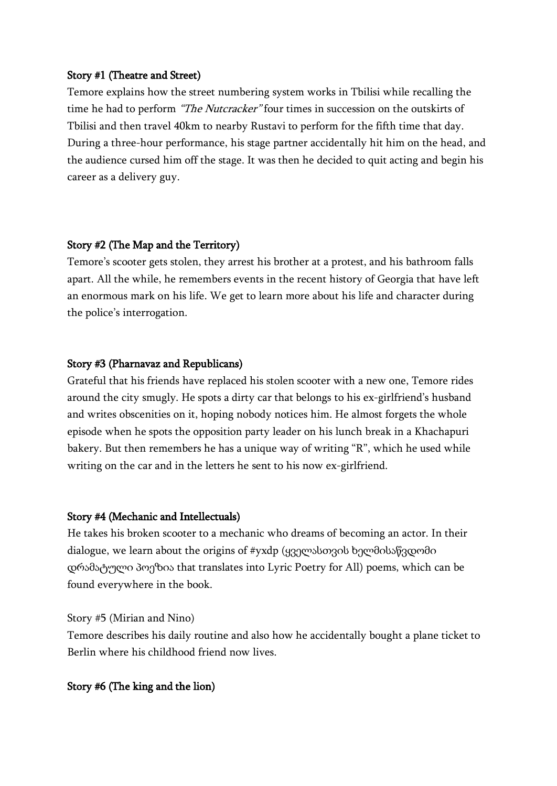### Story #1 (Theatre and Street)

Temore explains how the street numbering system works in Tbilisi while recalling the time he had to perform "The Nutcracker" four times in succession on the outskirts of Tbilisi and then travel 40km to nearby Rustavi to perform for the fifth time that day. During a three-hour performance, his stage partner accidentally hit him on the head, and the audience cursed him off the stage. It was then he decided to quit acting and begin his career as a delivery guy.

# Story #2 (The Map and the Territory)

Temore's scooter gets stolen, they arrest his brother at a protest, and his bathroom falls apart. All the while, he remembers events in the recent history of Georgia that have left an enormous mark on his life. We get to learn more about his life and character during the police's interrogation.

# Story #3 (Pharnavaz and Republicans)

Grateful that his friends have replaced his stolen scooter with a new one, Temore rides around the city smugly. He spots a dirty car that belongs to his ex-girlfriend's husband and writes obscenities on it, hoping nobody notices him. He almost forgets the whole episode when he spots the opposition party leader on his lunch break in a Khachapuri bakery. But then remembers he has a unique way of writing "R", which he used while writing on the car and in the letters he sent to his now ex-girlfriend.

# Story #4 (Mechanic and Intellectuals)

He takes his broken scooter to a mechanic who dreams of becoming an actor. In their dialogue, we learn about the origins of #yxdp (ყველასთვის ხელმისაწვდომი დრამატული პოეზია that translates into Lyric Poetry for All) poems, which can be found everywhere in the book.

### Story #5 (Mirian and Nino)

Temore describes his daily routine and also how he accidentally bought a plane ticket to Berlin where his childhood friend now lives.

# Story #6 (The king and the lion)